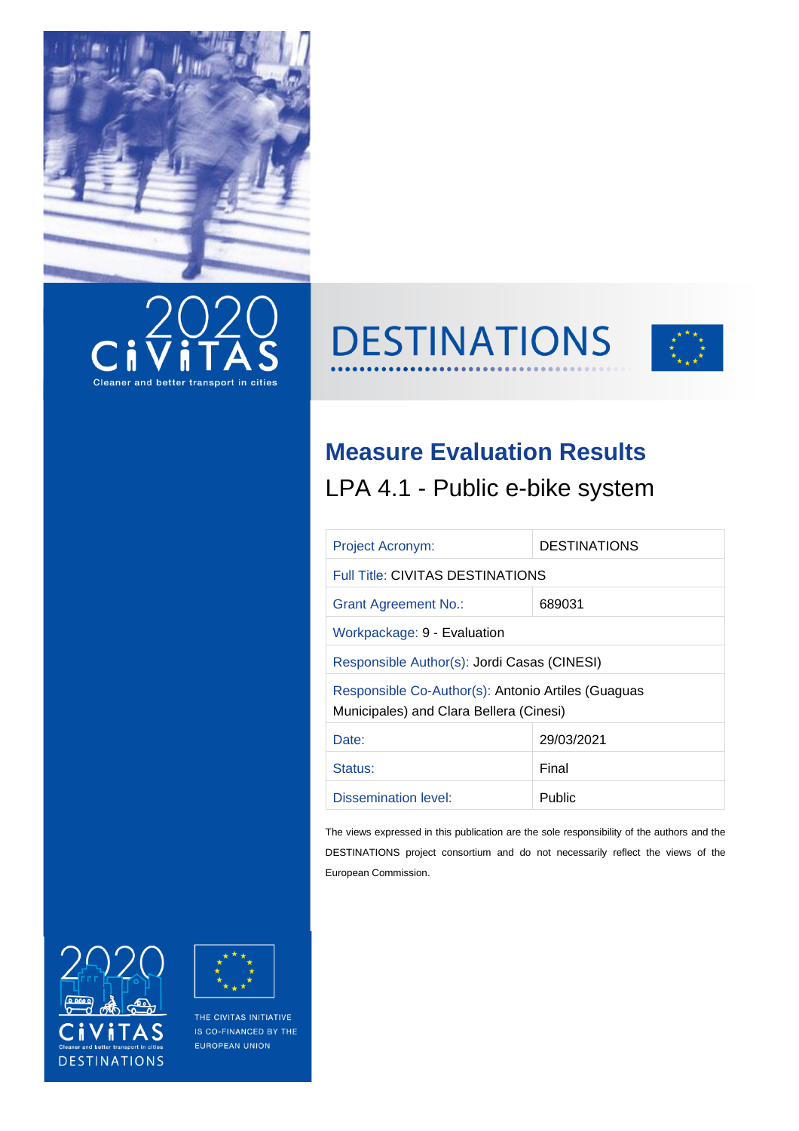







## **Measure Evaluation Results**

LPA 4.1 - Public e-bike system

| <b>Project Acronym:</b>                                                                       | <b>DESTINATIONS</b> |  |  |  |
|-----------------------------------------------------------------------------------------------|---------------------|--|--|--|
| <b>Full Title: CIVITAS DESTINATIONS</b>                                                       |                     |  |  |  |
| 689031<br><b>Grant Agreement No.:</b>                                                         |                     |  |  |  |
| Workpackage: 9 - Evaluation                                                                   |                     |  |  |  |
| Responsible Author(s): Jordi Casas (CINESI)                                                   |                     |  |  |  |
| Responsible Co-Author(s): Antonio Artiles (Guaguas<br>Municipales) and Clara Bellera (Cinesi) |                     |  |  |  |
| Date:                                                                                         | 29/03/2021          |  |  |  |
| Status:                                                                                       | Final               |  |  |  |
| Dissemination level:                                                                          | Public              |  |  |  |

The views expressed in this publication are the sole responsibility of the authors and the DESTINATIONS project consortium and do not necessarily reflect the views of the European Commission.





THE CIVITAS INITIATIVE IS CO-FINANCED BY THE EUROPEAN UNION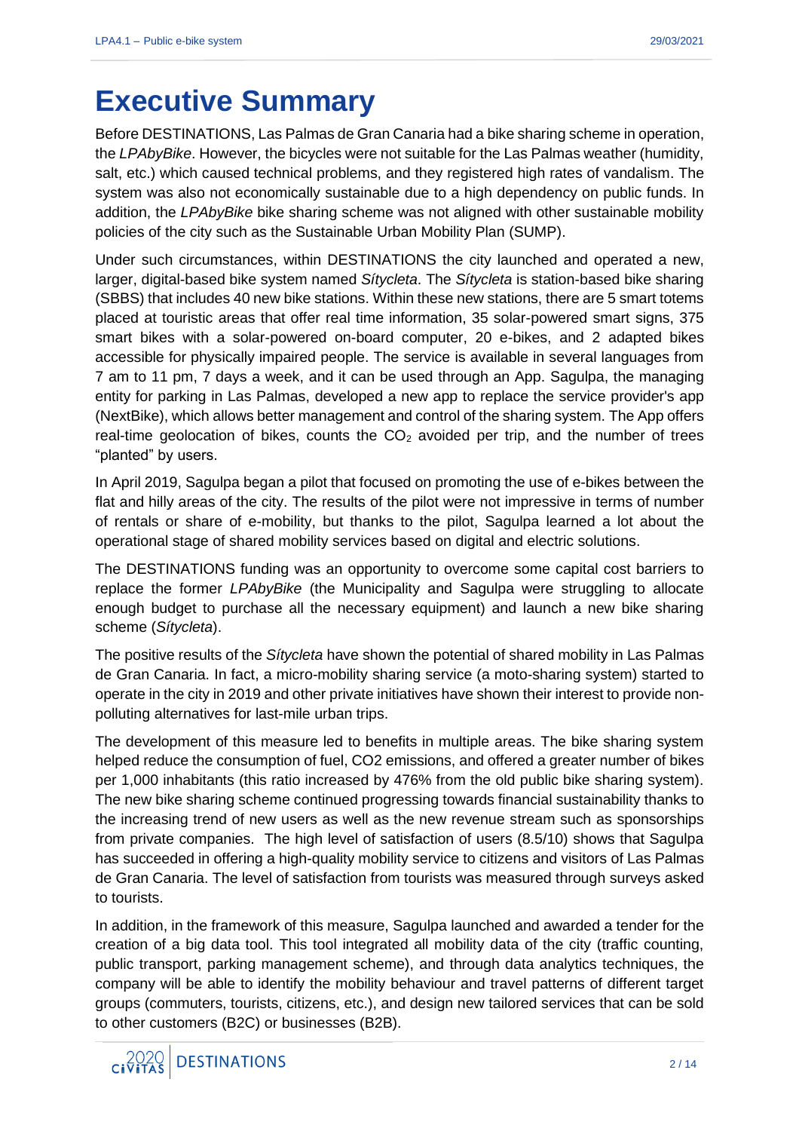## **Executive Summary**

Before DESTINATIONS, Las Palmas de Gran Canaria had a bike sharing scheme in operation, the *LPAbyBike*. However, the bicycles were not suitable for the Las Palmas weather (humidity, salt, etc.) which caused technical problems, and they registered high rates of vandalism. The system was also not economically sustainable due to a high dependency on public funds. In addition, the *LPAbyBike* bike sharing scheme was not aligned with other sustainable mobility policies of the city such as the Sustainable Urban Mobility Plan (SUMP).

Under such circumstances, within DESTINATIONS the city launched and operated a new, larger, digital-based bike system named *Sítycleta*. The *Sítycleta* is station-based bike sharing (SBBS) that includes 40 new bike stations. Within these new stations, there are 5 smart totems placed at touristic areas that offer real time information, 35 solar-powered smart signs, 375 smart bikes with a solar-powered on-board computer, 20 e-bikes, and 2 adapted bikes accessible for physically impaired people. The service is available in several languages from 7 am to 11 pm, 7 days a week, and it can be used through an App. Sagulpa, the managing entity for parking in Las Palmas, developed a new app to replace the service provider's app (NextBike), which allows better management and control of the sharing system. The App offers real-time geolocation of bikes, counts the  $CO<sub>2</sub>$  avoided per trip, and the number of trees "planted" by users.

In April 2019, Sagulpa began a pilot that focused on promoting the use of e-bikes between the flat and hilly areas of the city. The results of the pilot were not impressive in terms of number of rentals or share of e-mobility, but thanks to the pilot, Sagulpa learned a lot about the operational stage of shared mobility services based on digital and electric solutions.

The DESTINATIONS funding was an opportunity to overcome some capital cost barriers to replace the former *LPAbyBike* (the Municipality and Sagulpa were struggling to allocate enough budget to purchase all the necessary equipment) and launch a new bike sharing scheme (*Sítycleta*).

The positive results of the *Sítycleta* have shown the potential of shared mobility in Las Palmas de Gran Canaria. In fact, a micro-mobility sharing service (a moto-sharing system) started to operate in the city in 2019 and other private initiatives have shown their interest to provide nonpolluting alternatives for last-mile urban trips.

The development of this measure led to benefits in multiple areas. The bike sharing system helped reduce the consumption of fuel, CO2 emissions, and offered a greater number of bikes per 1,000 inhabitants (this ratio increased by 476% from the old public bike sharing system). The new bike sharing scheme continued progressing towards financial sustainability thanks to the increasing trend of new users as well as the new revenue stream such as sponsorships from private companies. The high level of satisfaction of users (8.5/10) shows that Sagulpa has succeeded in offering a high-quality mobility service to citizens and visitors of Las Palmas de Gran Canaria. The level of satisfaction from tourists was measured through surveys asked to tourists.

In addition, in the framework of this measure, Sagulpa launched and awarded a tender for the creation of a big data tool. This tool integrated all mobility data of the city (traffic counting, public transport, parking management scheme), and through data analytics techniques, the company will be able to identify the mobility behaviour and travel patterns of different target groups (commuters, tourists, citizens, etc.), and design new tailored services that can be sold to other customers (B2C) or businesses (B2B).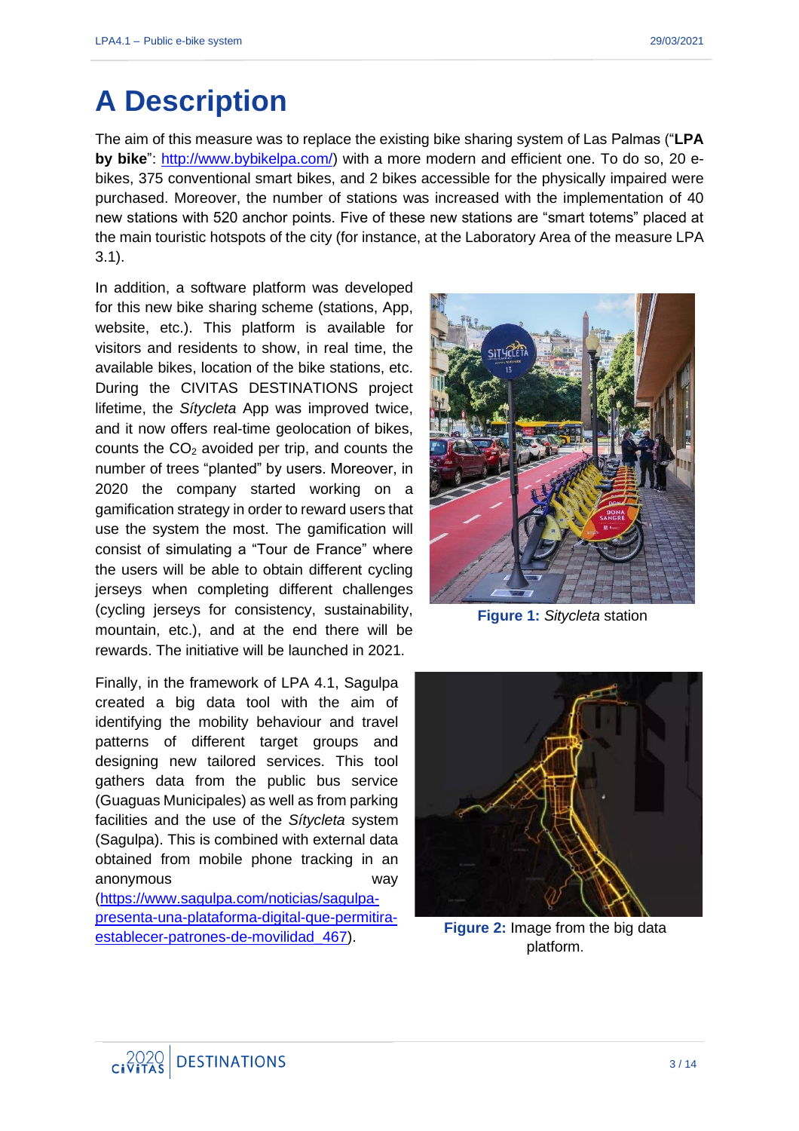# **A Description**

The aim of this measure was to replace the existing bike sharing system of Las Palmas ("**LPA by bike**": [http://www.bybikelpa.com/\)](http://www.bybikelpa.com/) with a more modern and efficient one. To do so, 20 ebikes, 375 conventional smart bikes, and 2 bikes accessible for the physically impaired were purchased. Moreover, the number of stations was increased with the implementation of 40 new stations with 520 anchor points. Five of these new stations are "smart totems" placed at the main touristic hotspots of the city (for instance, at the Laboratory Area of the measure LPA 3.1).

In addition, a software platform was developed for this new bike sharing scheme (stations, App, website, etc.). This platform is available for visitors and residents to show, in real time, the available bikes, location of the bike stations, etc. During the CIVITAS DESTINATIONS project lifetime, the *Sítycleta* App was improved twice, and it now offers real-time geolocation of bikes, counts the  $CO<sub>2</sub>$  avoided per trip, and counts the number of trees "planted" by users. Moreover, in 2020 the company started working on a gamification strategy in order to reward users that use the system the most. The gamification will consist of simulating a "Tour de France" where the users will be able to obtain different cycling jerseys when completing different challenges (cycling jerseys for consistency, sustainability, mountain, etc.), and at the end there will be rewards. The initiative will be launched in 2021.

Finally, in the framework of LPA 4.1, Sagulpa created a big data tool with the aim of identifying the mobility behaviour and travel patterns of different target groups and designing new tailored services. This tool gathers data from the public bus service (Guaguas Municipales) as well as from parking facilities and the use of the *Sítycleta* system (Sagulpa). This is combined with external data obtained from mobile phone tracking in an anonymous way [\(https://www.sagulpa.com/noticias/sagulpa](https://www.sagulpa.com/noticias/sagulpa-presenta-una-plataforma-digital-que-permitira-establecer-patrones-de-movilidad_467)[presenta-una-plataforma-digital-que-permitira](https://www.sagulpa.com/noticias/sagulpa-presenta-una-plataforma-digital-que-permitira-establecer-patrones-de-movilidad_467)[establecer-patrones-de-movilidad\\_467\)](https://www.sagulpa.com/noticias/sagulpa-presenta-una-plataforma-digital-que-permitira-establecer-patrones-de-movilidad_467).



**Figure 1:** *Sitycleta* station



**Figure 2:** Image from the big data platform.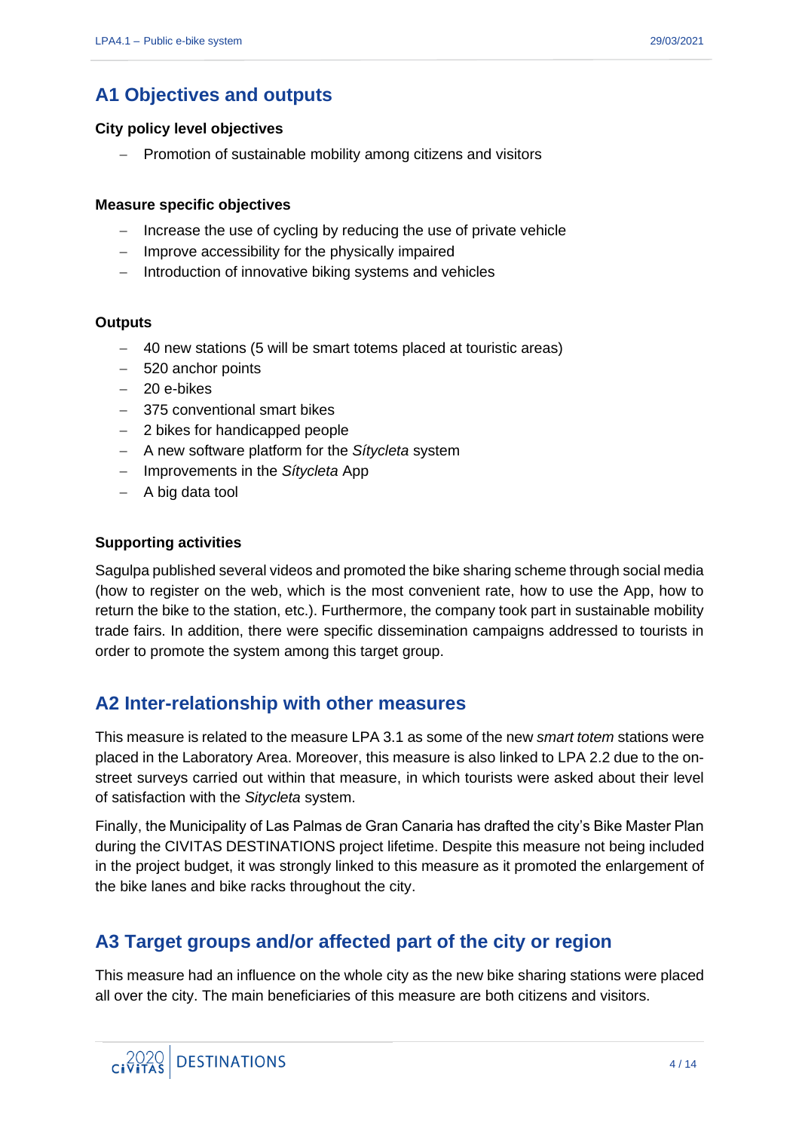## **A1 Objectives and outputs**

#### **City policy level objectives**

− Promotion of sustainable mobility among citizens and visitors

#### **Measure specific objectives**

- − Increase the use of cycling by reducing the use of private vehicle
- − Improve accessibility for the physically impaired
- − Introduction of innovative biking systems and vehicles

#### **Outputs**

- − 40 new stations (5 will be smart totems placed at touristic areas)
- − 520 anchor points
- − 20 e-bikes
- − 375 conventional smart bikes
- − 2 bikes for handicapped people
- − A new software platform for the *Sítycleta* system
- − Improvements in the *Sítycleta* App
- − A big data tool

#### **Supporting activities**

Sagulpa published several videos and promoted the bike sharing scheme through social media (how to register on the web, which is the most convenient rate, how to use the App, how to return the bike to the station, etc.). Furthermore, the company took part in sustainable mobility trade fairs. In addition, there were specific dissemination campaigns addressed to tourists in order to promote the system among this target group.

### **A2 Inter-relationship with other measures**

This measure is related to the measure LPA 3.1 as some of the new *smart totem* stations were placed in the Laboratory Area. Moreover, this measure is also linked to LPA 2.2 due to the onstreet surveys carried out within that measure, in which tourists were asked about their level of satisfaction with the *Sitycleta* system.

Finally, the Municipality of Las Palmas de Gran Canaria has drafted the city's Bike Master Plan during the CIVITAS DESTINATIONS project lifetime. Despite this measure not being included in the project budget, it was strongly linked to this measure as it promoted the enlargement of the bike lanes and bike racks throughout the city.

## **A3 Target groups and/or affected part of the city or region**

This measure had an influence on the whole city as the new bike sharing stations were placed all over the city. The main beneficiaries of this measure are both citizens and visitors.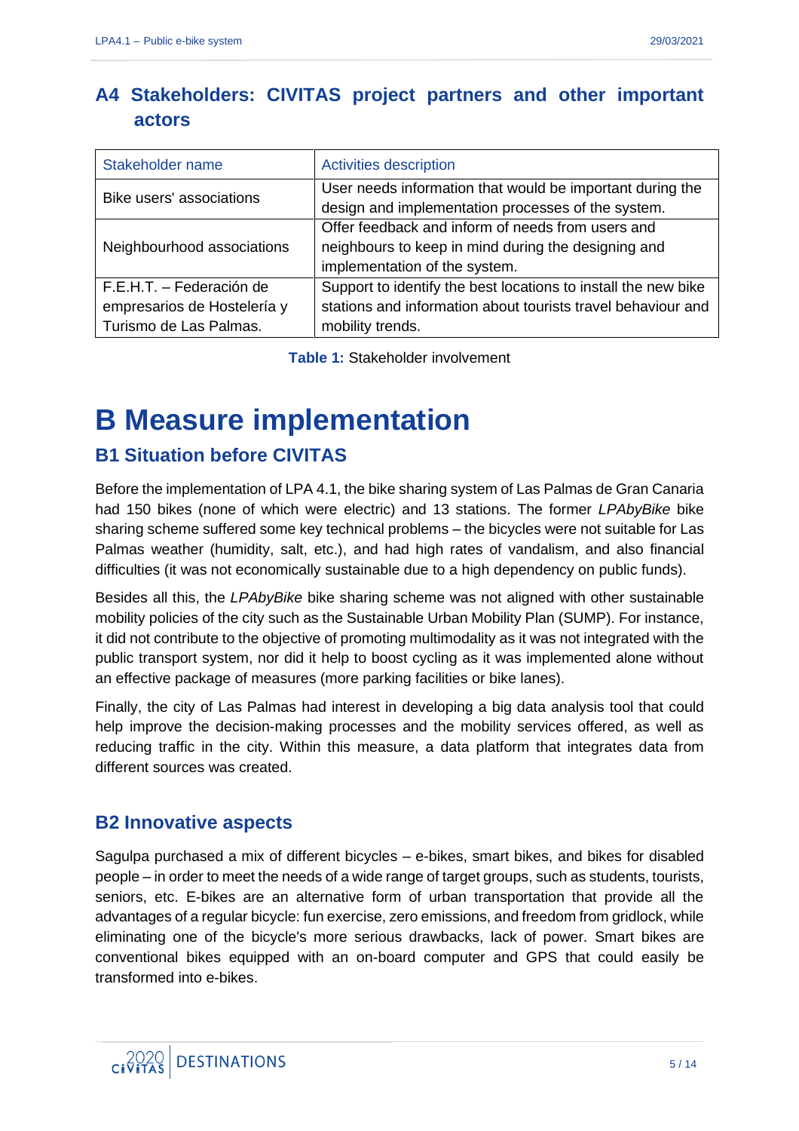## **A4 Stakeholders: CIVITAS project partners and other important actors**

| Stakeholder name                                                                  | <b>Activities description</b>                                                                                                                      |
|-----------------------------------------------------------------------------------|----------------------------------------------------------------------------------------------------------------------------------------------------|
| Bike users' associations                                                          | User needs information that would be important during the<br>design and implementation processes of the system.                                    |
| Neighbourhood associations                                                        | Offer feedback and inform of needs from users and<br>neighbours to keep in mind during the designing and<br>implementation of the system.          |
| F.E.H.T. - Federación de<br>empresarios de Hostelería y<br>Turismo de Las Palmas. | Support to identify the best locations to install the new bike<br>stations and information about tourists travel behaviour and<br>mobility trends. |

**Table 1:** Stakeholder involvement

## **B Measure implementation**

## **B1 Situation before CIVITAS**

Before the implementation of LPA 4.1, the bike sharing system of Las Palmas de Gran Canaria had 150 bikes (none of which were electric) and 13 stations. The former *LPAbyBike* bike sharing scheme suffered some key technical problems – the bicycles were not suitable for Las Palmas weather (humidity, salt, etc.), and had high rates of vandalism, and also financial difficulties (it was not economically sustainable due to a high dependency on public funds).

Besides all this, the *LPAbyBike* bike sharing scheme was not aligned with other sustainable mobility policies of the city such as the Sustainable Urban Mobility Plan (SUMP). For instance, it did not contribute to the objective of promoting multimodality as it was not integrated with the public transport system, nor did it help to boost cycling as it was implemented alone without an effective package of measures (more parking facilities or bike lanes).

Finally, the city of Las Palmas had interest in developing a big data analysis tool that could help improve the decision-making processes and the mobility services offered, as well as reducing traffic in the city. Within this measure, a data platform that integrates data from different sources was created.

### **B2 Innovative aspects**

Sagulpa purchased a mix of different bicycles – e-bikes, smart bikes, and bikes for disabled people – in order to meet the needs of a wide range of target groups, such as students, tourists, seniors, etc. E-bikes are an alternative form of urban transportation that provide all the advantages of a regular bicycle: fun exercise, zero emissions, and freedom from gridlock, while eliminating one of the bicycle's more serious drawbacks, lack of power. Smart bikes are conventional bikes equipped with an on-board computer and GPS that could easily be transformed into e-bikes.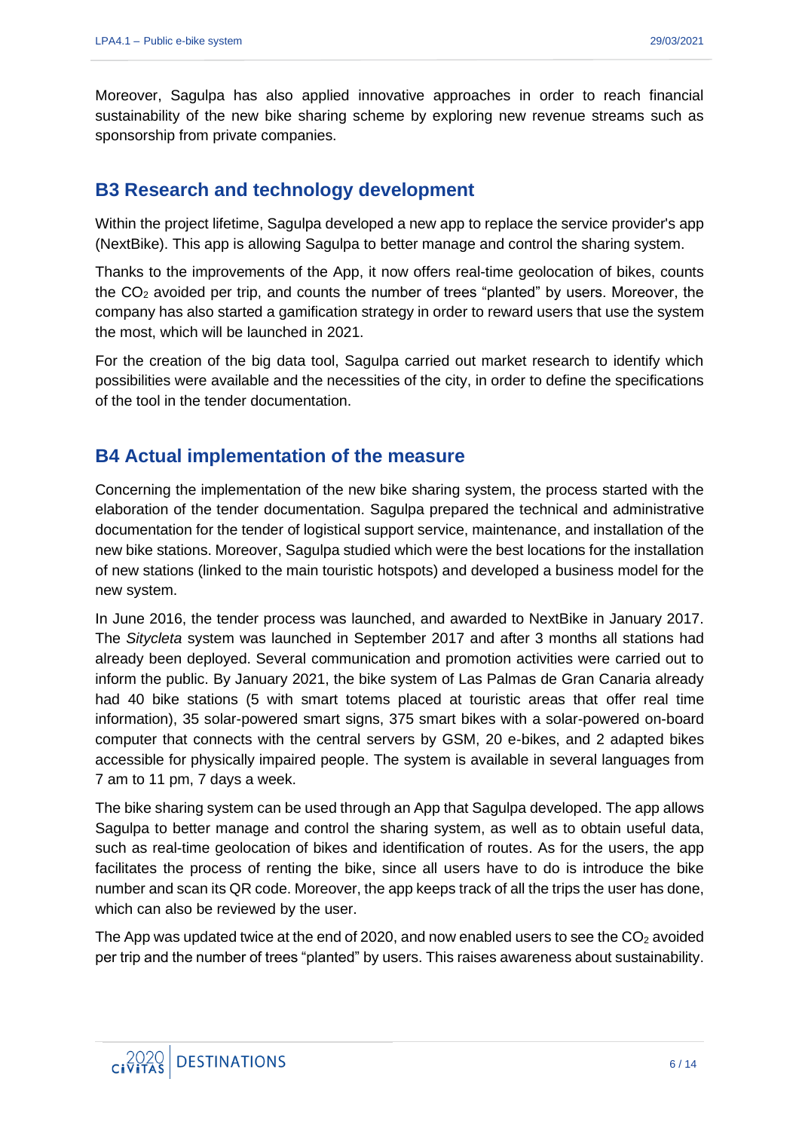Moreover, Sagulpa has also applied innovative approaches in order to reach financial sustainability of the new bike sharing scheme by exploring new revenue streams such as sponsorship from private companies.

### **B3 Research and technology development**

Within the project lifetime, Sagulpa developed a new app to replace the service provider's app (NextBike). This app is allowing Sagulpa to better manage and control the sharing system.

Thanks to the improvements of the App, it now offers real-time geolocation of bikes, counts the  $CO<sub>2</sub>$  avoided per trip, and counts the number of trees "planted" by users. Moreover, the company has also started a gamification strategy in order to reward users that use the system the most, which will be launched in 2021.

For the creation of the big data tool, Sagulpa carried out market research to identify which possibilities were available and the necessities of the city, in order to define the specifications of the tool in the tender documentation.

## **B4 Actual implementation of the measure**

Concerning the implementation of the new bike sharing system, the process started with the elaboration of the tender documentation. Sagulpa prepared the technical and administrative documentation for the tender of logistical support service, maintenance, and installation of the new bike stations. Moreover, Sagulpa studied which were the best locations for the installation of new stations (linked to the main touristic hotspots) and developed a business model for the new system.

In June 2016, the tender process was launched, and awarded to NextBike in January 2017. The *Sitycleta* system was launched in September 2017 and after 3 months all stations had already been deployed. Several communication and promotion activities were carried out to inform the public. By January 2021, the bike system of Las Palmas de Gran Canaria already had 40 bike stations (5 with smart totems placed at touristic areas that offer real time information), 35 solar-powered smart signs, 375 smart bikes with a solar-powered on-board computer that connects with the central servers by GSM, 20 e-bikes, and 2 adapted bikes accessible for physically impaired people. The system is available in several languages from 7 am to 11 pm, 7 days a week.

The bike sharing system can be used through an App that Sagulpa developed. The app allows Sagulpa to better manage and control the sharing system, as well as to obtain useful data, such as real-time geolocation of bikes and identification of routes. As for the users, the app facilitates the process of renting the bike, since all users have to do is introduce the bike number and scan its QR code. Moreover, the app keeps track of all the trips the user has done, which can also be reviewed by the user.

The App was updated twice at the end of 2020, and now enabled users to see the  $CO<sub>2</sub>$  avoided per trip and the number of trees "planted" by users. This raises awareness about sustainability.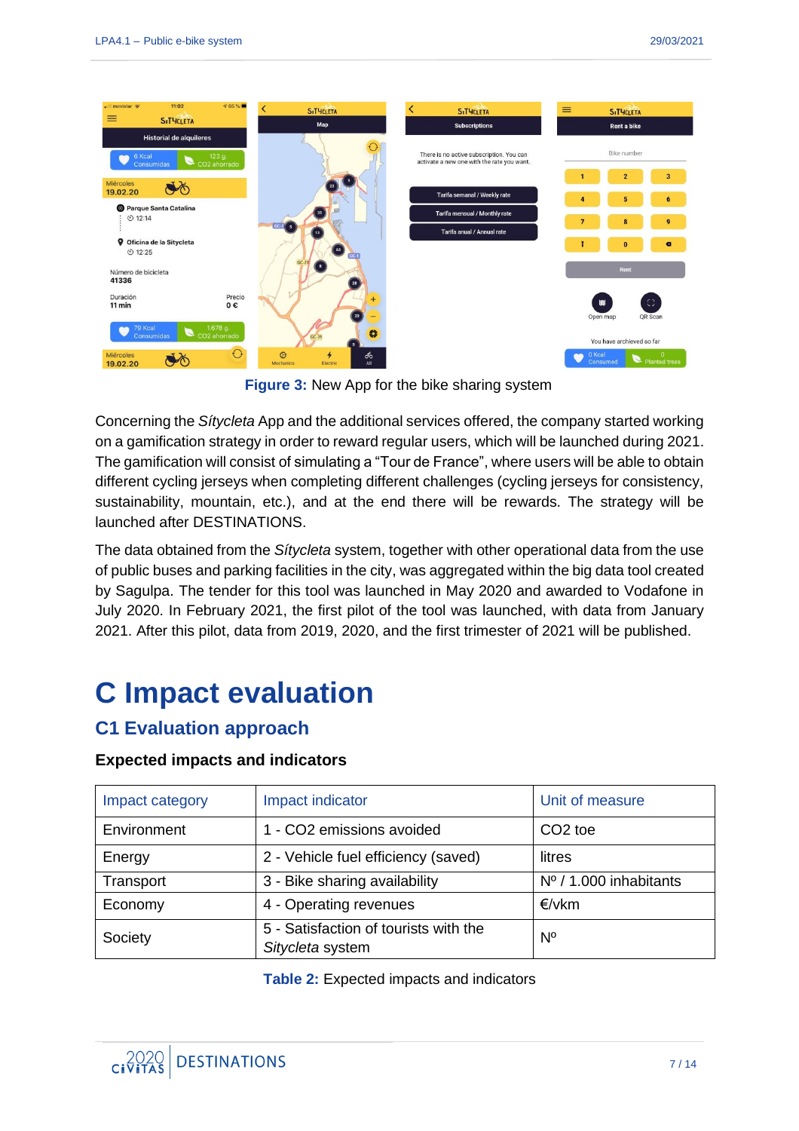

**Figure 3:** New App for the bike sharing system

Concerning the *Sítycleta* App and the additional services offered, the company started working on a gamification strategy in order to reward regular users, which will be launched during 2021. The gamification will consist of simulating a "Tour de France", where users will be able to obtain different cycling jerseys when completing different challenges (cycling jerseys for consistency, sustainability, mountain, etc.), and at the end there will be rewards. The strategy will be launched after DESTINATIONS.

The data obtained from the *Sítycleta* system, together with other operational data from the use of public buses and parking facilities in the city, was aggregated within the big data tool created by Sagulpa. The tender for this tool was launched in May 2020 and awarded to Vodafone in July 2020. In February 2021, the first pilot of the tool was launched, with data from January 2021. After this pilot, data from 2019, 2020, and the first trimester of 2021 will be published.

# **C Impact evaluation**

## **C1 Evaluation approach**

#### **Expected impacts and indicators**

| Impact category | Impact indicator                                          | Unit of measure        |
|-----------------|-----------------------------------------------------------|------------------------|
| Environment     | 1 - CO2 emissions avoided                                 | CO <sub>2</sub> toe    |
| Energy          | 2 - Vehicle fuel efficiency (saved)                       | litres                 |
| Transport       | 3 - Bike sharing availability                             | Nº / 1.000 inhabitants |
| Economy         | 4 - Operating revenues                                    | €/vkm                  |
| Society         | 5 - Satisfaction of tourists with the<br>Sitycleta system | $N^{\circ}$            |

**Table 2:** Expected impacts and indicators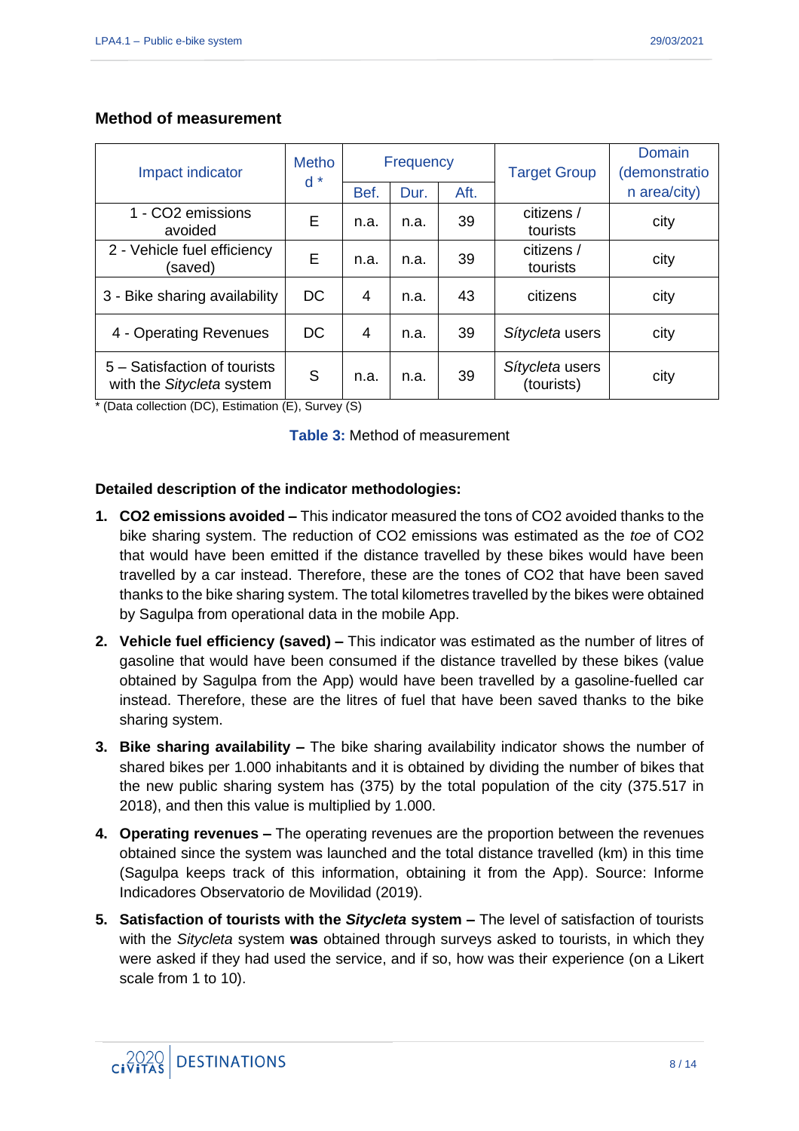#### **Method of measurement**

| Impact indicator                                          | <b>Frequency</b><br><b>Metho</b> |      | <b>Target Group</b> | Domain<br>(demonstratio |                               |              |
|-----------------------------------------------------------|----------------------------------|------|---------------------|-------------------------|-------------------------------|--------------|
|                                                           | $d *$                            | Bef. | Dur.                | Aft.                    |                               | n area/city) |
| 1 - CO2 emissions<br>avoided                              | E                                | n.a. | n.a.                | 39                      | citizens /<br>tourists        | city         |
| 2 - Vehicle fuel efficiency<br>(saved)                    | E                                | n.a. | n.a.                | 39                      | citizens /<br>tourists        | city         |
| 3 - Bike sharing availability                             | <b>DC</b>                        | 4    | n.a.                | 43                      | citizens                      | city         |
| 4 - Operating Revenues                                    | <b>DC</b>                        | 4    | n.a.                | 39                      | Sítycleta users               | city         |
| 5 - Satisfaction of tourists<br>with the Sitycleta system | S                                | n.a. | n.a.                | 39                      | Sítycleta users<br>(tourists) | city         |

\* (Data collection (DC), Estimation (E), Survey (S)

|  |  | <b>Table 3: Method of measurement</b> |
|--|--|---------------------------------------|
|--|--|---------------------------------------|

#### **Detailed description of the indicator methodologies:**

- **1. CO2 emissions avoided –** This indicator measured the tons of CO2 avoided thanks to the bike sharing system. The reduction of CO2 emissions was estimated as the *toe* of CO2 that would have been emitted if the distance travelled by these bikes would have been travelled by a car instead. Therefore, these are the tones of CO2 that have been saved thanks to the bike sharing system. The total kilometres travelled by the bikes were obtained by Sagulpa from operational data in the mobile App.
- **2. Vehicle fuel efficiency (saved) –** This indicator was estimated as the number of litres of gasoline that would have been consumed if the distance travelled by these bikes (value obtained by Sagulpa from the App) would have been travelled by a gasoline-fuelled car instead. Therefore, these are the litres of fuel that have been saved thanks to the bike sharing system.
- **3. Bike sharing availability –** The bike sharing availability indicator shows the number of shared bikes per 1.000 inhabitants and it is obtained by dividing the number of bikes that the new public sharing system has (375) by the total population of the city (375.517 in 2018), and then this value is multiplied by 1.000.
- **4. Operating revenues –** The operating revenues are the proportion between the revenues obtained since the system was launched and the total distance travelled (km) in this time (Sagulpa keeps track of this information, obtaining it from the App). Source: Informe Indicadores Observatorio de Movilidad (2019).
- **5. Satisfaction of tourists with the** *Sitycleta* **system –** The level of satisfaction of tourists with the *Sitycleta* system **was** obtained through surveys asked to tourists, in which they were asked if they had used the service, and if so, how was their experience (on a Likert scale from 1 to 10).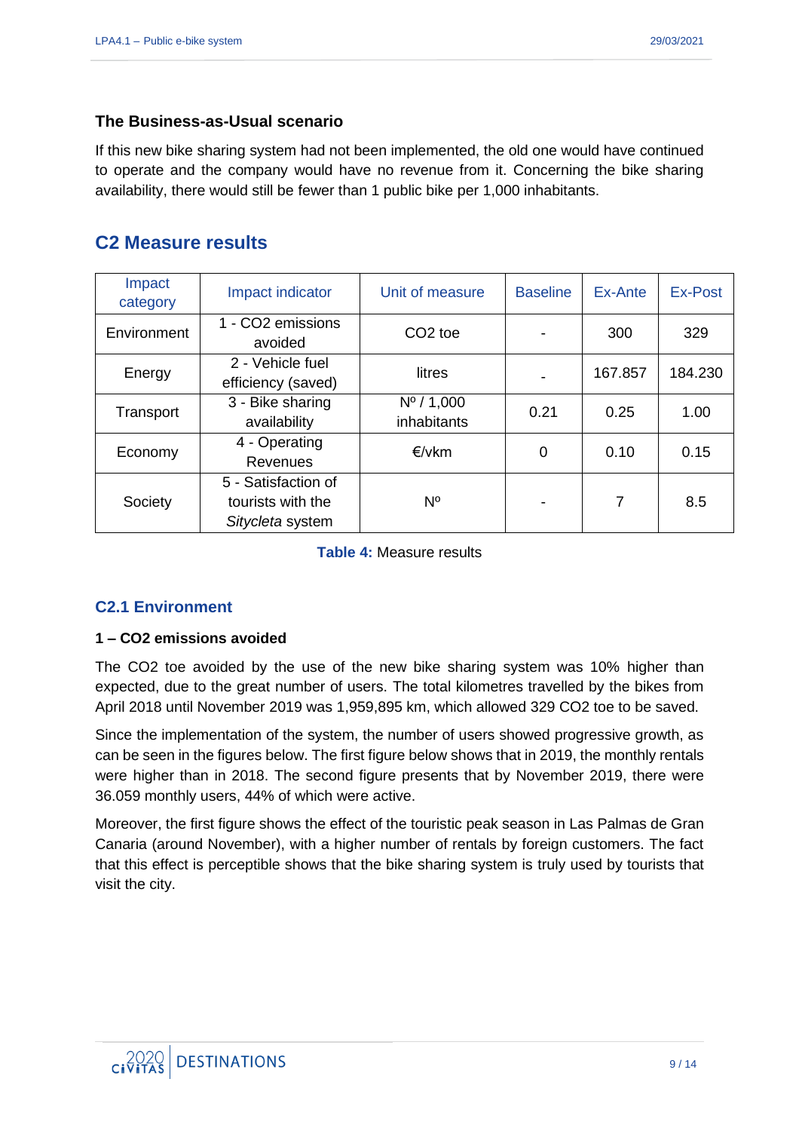#### **The Business-as-Usual scenario**

If this new bike sharing system had not been implemented, the old one would have continued to operate and the company would have no revenue from it. Concerning the bike sharing availability, there would still be fewer than 1 public bike per 1,000 inhabitants.

### **C2 Measure results**

| Impact<br>category | Impact indicator                                             | Unit of measure                            | <b>Baseline</b>          | Ex-Ante | Ex-Post |
|--------------------|--------------------------------------------------------------|--------------------------------------------|--------------------------|---------|---------|
| Environment        | 1 - CO2 emissions<br>avoided                                 | CO <sub>2</sub> toe                        |                          | 300     | 329     |
| Energy             | 2 - Vehicle fuel<br>efficiency (saved)                       | litres                                     | $\overline{\phantom{a}}$ | 167.857 | 184.230 |
| Transport          | 3 - Bike sharing<br>availability                             | $N^{\circ}$ / 1,000<br>0.21<br>inhabitants |                          | 0.25    | 1.00    |
| Economy            | 4 - Operating<br>Revenues                                    | €/vkm                                      | 0                        | 0.10    | 0.15    |
| Society            | 5 - Satisfaction of<br>tourists with the<br>Sitycleta system | N°                                         |                          | 7       | 8.5     |

**Table 4:** Measure results

### **C2.1 Environment**

#### **1 – CO2 emissions avoided**

The CO2 toe avoided by the use of the new bike sharing system was 10% higher than expected, due to the great number of users. The total kilometres travelled by the bikes from April 2018 until November 2019 was 1,959,895 km, which allowed 329 CO2 toe to be saved.

Since the implementation of the system, the number of users showed progressive growth, as can be seen in the figures below. The first figure below shows that in 2019, the monthly rentals were higher than in 2018. The second figure presents that by November 2019, there were 36.059 monthly users, 44% of which were active.

Moreover, the first figure shows the effect of the touristic peak season in Las Palmas de Gran Canaria (around November), with a higher number of rentals by foreign customers. The fact that this effect is perceptible shows that the bike sharing system is truly used by tourists that visit the city.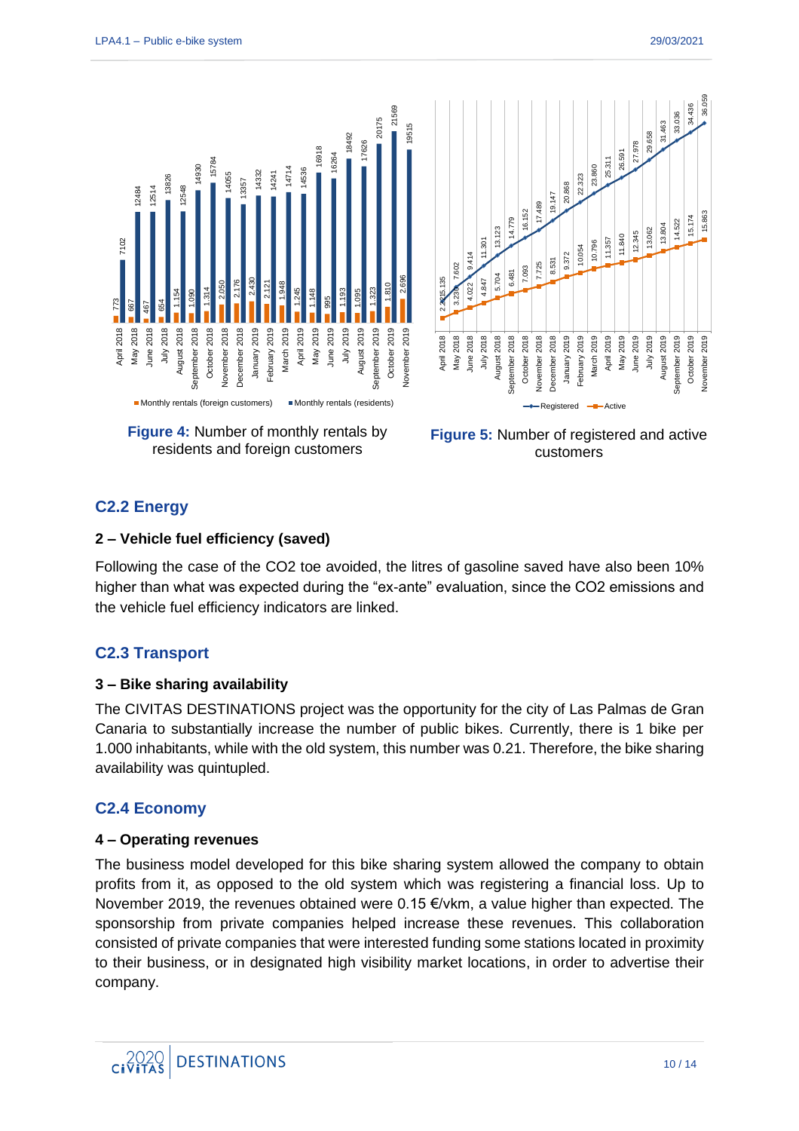

residents and foreign customers



#### **C2.2 Energy**

#### **2 – Vehicle fuel efficiency (saved)**

Following the case of the CO2 toe avoided, the litres of gasoline saved have also been 10% higher than what was expected during the "ex-ante" evaluation, since the CO2 emissions and the vehicle fuel efficiency indicators are linked.

#### **C2.3 Transport**

#### **3 – Bike sharing availability**

The CIVITAS DESTINATIONS project was the opportunity for the city of Las Palmas de Gran Canaria to substantially increase the number of public bikes. Currently, there is 1 bike per 1.000 inhabitants, while with the old system, this number was 0.21. Therefore, the bike sharing availability was quintupled.

### **C2.4 Economy**

#### **4 – Operating revenues**

The business model developed for this bike sharing system allowed the company to obtain profits from it, as opposed to the old system which was registering a financial loss. Up to November 2019, the revenues obtained were 0.15 €/vkm, a value higher than expected. The sponsorship from private companies helped increase these revenues. This collaboration consisted of private companies that were interested funding some stations located in proximity to their business, or in designated high visibility market locations, in order to advertise their company.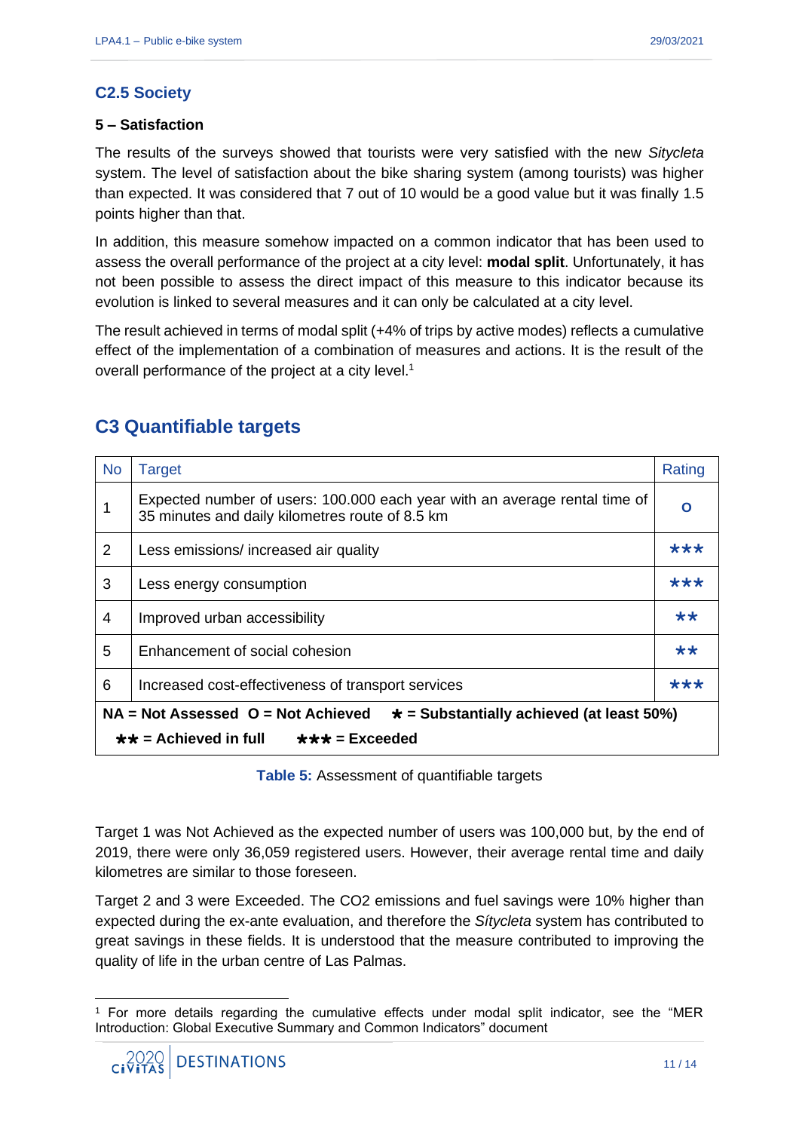#### **C2.5 Society**

#### **5 – Satisfaction**

The results of the surveys showed that tourists were very satisfied with the new *Sitycleta* system. The level of satisfaction about the bike sharing system (among tourists) was higher than expected. It was considered that 7 out of 10 would be a good value but it was finally 1.5 points higher than that.

In addition, this measure somehow impacted on a common indicator that has been used to assess the overall performance of the project at a city level: **modal split**. Unfortunately, it has not been possible to assess the direct impact of this measure to this indicator because its evolution is linked to several measures and it can only be calculated at a city level.

The result achieved in terms of modal split (+4% of trips by active modes) reflects a cumulative effect of the implementation of a combination of measures and actions. It is the result of the overall performance of the project at a city level.<sup>1</sup>

| <b>No</b>                                                                                 | Target                                                                                                                        |       |  |  |
|-------------------------------------------------------------------------------------------|-------------------------------------------------------------------------------------------------------------------------------|-------|--|--|
|                                                                                           | Expected number of users: 100.000 each year with an average rental time of<br>35 minutes and daily kilometres route of 8.5 km | O     |  |  |
| 2                                                                                         | Less emissions/ increased air quality                                                                                         | ***   |  |  |
| 3                                                                                         | Less energy consumption                                                                                                       | ***   |  |  |
| $\overline{4}$                                                                            | Improved urban accessibility                                                                                                  |       |  |  |
| 5                                                                                         | Enhancement of social cohesion                                                                                                | $***$ |  |  |
| 6                                                                                         | ***<br>Increased cost-effectiveness of transport services                                                                     |       |  |  |
| $NA = Not Assessed$ $O = Not$ Achieved<br>$\star$ = Substantially achieved (at least 50%) |                                                                                                                               |       |  |  |
| $\star\star$ = Achieved in full<br>$\star \star \star =$ Exceeded                         |                                                                                                                               |       |  |  |

## **C3 Quantifiable targets**

**Table 5:** Assessment of quantifiable targets

Target 1 was Not Achieved as the expected number of users was 100,000 but, by the end of 2019, there were only 36,059 registered users. However, their average rental time and daily kilometres are similar to those foreseen.

Target 2 and 3 were Exceeded. The CO2 emissions and fuel savings were 10% higher than expected during the ex-ante evaluation, and therefore the *Sítycleta* system has contributed to great savings in these fields. It is understood that the measure contributed to improving the quality of life in the urban centre of Las Palmas.

<sup>1</sup> For more details regarding the cumulative effects under modal split indicator, see the "MER Introduction: Global Executive Summary and Common Indicators" document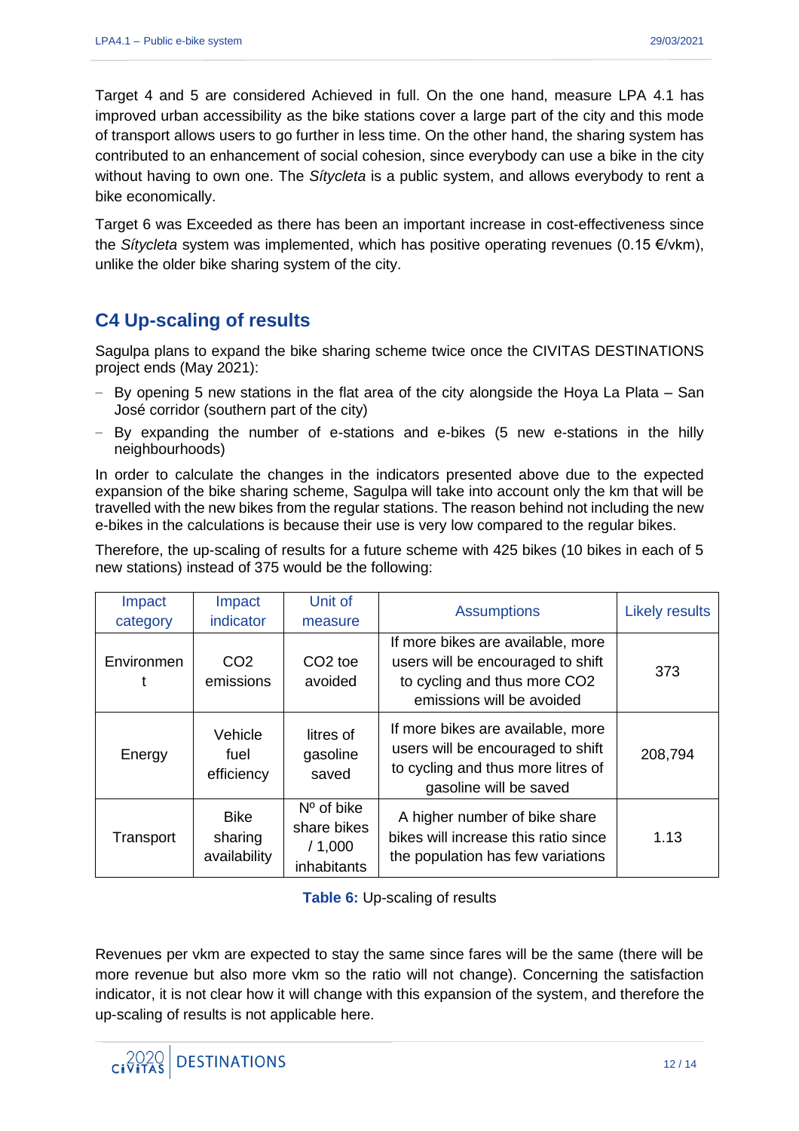Target 4 and 5 are considered Achieved in full. On the one hand, measure LPA 4.1 has improved urban accessibility as the bike stations cover a large part of the city and this mode of transport allows users to go further in less time. On the other hand, the sharing system has contributed to an enhancement of social cohesion, since everybody can use a bike in the city without having to own one. The *Sítycleta* is a public system, and allows everybody to rent a bike economically.

Target 6 was Exceeded as there has been an important increase in cost-effectiveness since the *Sítycleta* system was implemented, which has positive operating revenues (0.15 €/vkm), unlike the older bike sharing system of the city.

## **C4 Up-scaling of results**

Sagulpa plans to expand the bike sharing scheme twice once the CIVITAS DESTINATIONS project ends (May 2021):

- − By opening 5 new stations in the flat area of the city alongside the Hoya La Plata San José corridor (southern part of the city)
- − By expanding the number of e-stations and e-bikes (5 new e-stations in the hilly neighbourhoods)

In order to calculate the changes in the indicators presented above due to the expected expansion of the bike sharing scheme, Sagulpa will take into account only the km that will be travelled with the new bikes from the regular stations. The reason behind not including the new e-bikes in the calculations is because their use is very low compared to the regular bikes.

Therefore, the up-scaling of results for a future scheme with 425 bikes (10 bikes in each of 5 new stations) instead of 375 would be the following:

| Impact<br>category | Impact<br>indicator                    | Unit of<br>measure                                   | <b>Assumptions</b>                                                                                                                     | <b>Likely results</b> |
|--------------------|----------------------------------------|------------------------------------------------------|----------------------------------------------------------------------------------------------------------------------------------------|-----------------------|
| Environmen<br>t    | CO <sub>2</sub><br>emissions           | CO <sub>2</sub> toe<br>avoided                       | If more bikes are available, more<br>users will be encouraged to shift<br>to cycling and thus more CO2<br>emissions will be avoided    | 373                   |
| Energy             | Vehicle<br>fuel<br>efficiency          | litres of<br>gasoline<br>saved                       | If more bikes are available, more<br>users will be encouraged to shift<br>to cycling and thus more litres of<br>gasoline will be saved | 208,794               |
| Transport          | <b>Bike</b><br>sharing<br>availability | $No$ of bike<br>share bikes<br>/1,000<br>inhabitants | A higher number of bike share<br>bikes will increase this ratio since<br>the population has few variations                             | 1.13                  |

**Table 6:** Up-scaling of results

Revenues per vkm are expected to stay the same since fares will be the same (there will be more revenue but also more vkm so the ratio will not change). Concerning the satisfaction indicator, it is not clear how it will change with this expansion of the system, and therefore the up-scaling of results is not applicable here.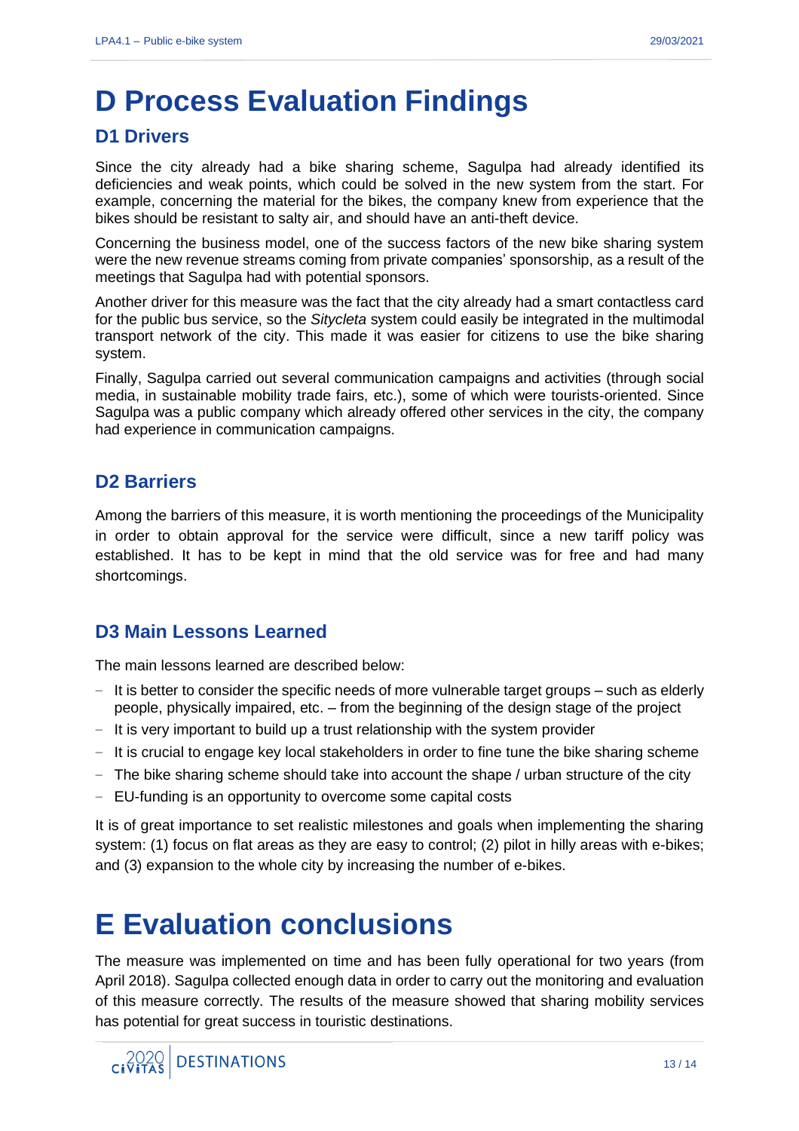## **D Process Evaluation Findings**

### **D1 Drivers**

Since the city already had a bike sharing scheme, Sagulpa had already identified its deficiencies and weak points, which could be solved in the new system from the start. For example, concerning the material for the bikes, the company knew from experience that the bikes should be resistant to salty air, and should have an anti-theft device.

Concerning the business model, one of the success factors of the new bike sharing system were the new revenue streams coming from private companies' sponsorship, as a result of the meetings that Sagulpa had with potential sponsors.

Another driver for this measure was the fact that the city already had a smart contactless card for the public bus service, so the *Sitycleta* system could easily be integrated in the multimodal transport network of the city. This made it was easier for citizens to use the bike sharing system.

Finally, Sagulpa carried out several communication campaigns and activities (through social media, in sustainable mobility trade fairs, etc.), some of which were tourists-oriented. Since Sagulpa was a public company which already offered other services in the city, the company had experience in communication campaigns.

## **D2 Barriers**

Among the barriers of this measure, it is worth mentioning the proceedings of the Municipality in order to obtain approval for the service were difficult, since a new tariff policy was established. It has to be kept in mind that the old service was for free and had many shortcomings.

## **D3 Main Lessons Learned**

The main lessons learned are described below:

- It is better to consider the specific needs of more vulnerable target groups such as elderly people, physically impaired, etc. – from the beginning of the design stage of the project
- − It is very important to build up a trust relationship with the system provider
- − It is crucial to engage key local stakeholders in order to fine tune the bike sharing scheme
- − The bike sharing scheme should take into account the shape / urban structure of the city
- − EU-funding is an opportunity to overcome some capital costs

It is of great importance to set realistic milestones and goals when implementing the sharing system: (1) focus on flat areas as they are easy to control; (2) pilot in hilly areas with e-bikes; and (3) expansion to the whole city by increasing the number of e-bikes.

# **E Evaluation conclusions**

The measure was implemented on time and has been fully operational for two years (from April 2018). Sagulpa collected enough data in order to carry out the monitoring and evaluation of this measure correctly. The results of the measure showed that sharing mobility services has potential for great success in touristic destinations.